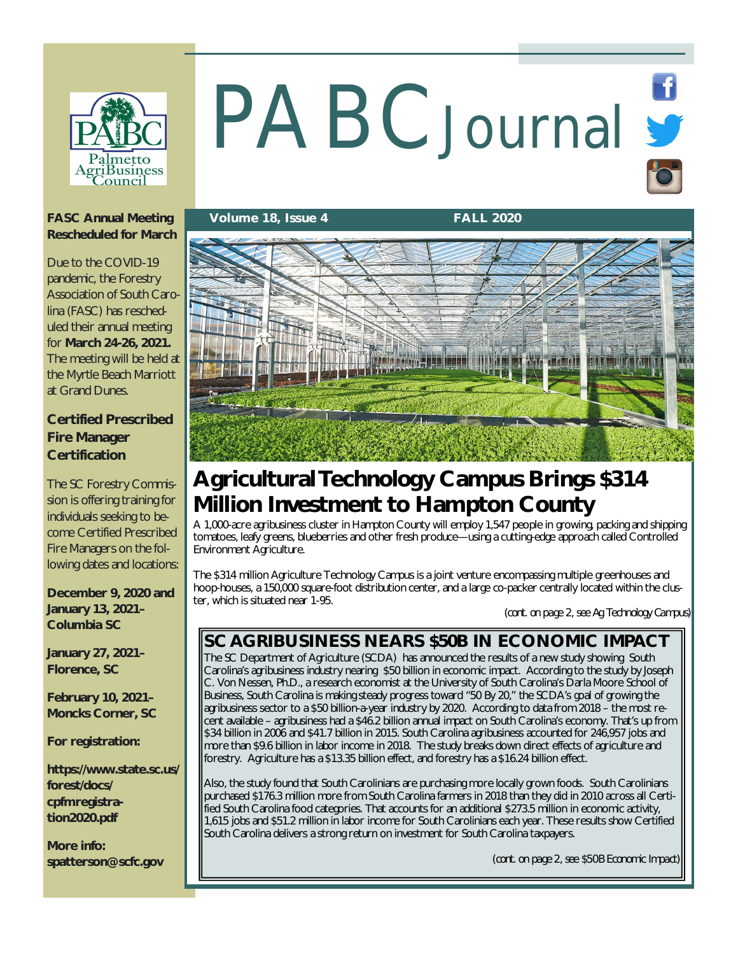

# PABCJournal St

### **FASC Annual Meeting Rescheduled for March**

Due to the COVID-19 pandemic, the Forestry Association of South Carolina (FASC) has rescheduled their annual meeting for **March 24-26, 2021.**  The meeting will be held at the Myrtle Beach Marriott at Grand Dunes.

### **Certified Prescribed Fire Manager Certification**

The SC Forestry Commission is offering training for individuals seeking to become Certified Prescribed Fire Managers on the following dates and locations:

**December 9, 2020 and January 13, 2021– Columbia SC**

**January 27, 2021– Florence, SC**

**February 10, 2021– Moncks Corner, SC**

**For registration:**

**<https://www.state.sc.us/> forest/docs/ cpfmregistration2020.pdf**

**More info: [spatterson@scfc.gov](mailto:spatterson@scfc.gov)**

### **Volume 18, Issue 4 FALL 2020**



# **Agricultural Technology Campus Brings \$314 Million Investment to Hampton County**

A 1,000-acre agribusiness cluster in Hampton County will employ 1,547 people in growing, packing and shipping tomatoes, leafy greens, blueberries and other fresh produce—using a cutting-edge approach called Controlled Environment Agriculture.

The \$314 million Agriculture Technology Campus is a joint venture encompassing multiple greenhouses and hoop-houses, a 150,000 square-foot distribution center, and a large co-packer centrally located within the cluster, which is situated near 1-95.

*(cont. on page 2, see Ag Technology Campus)*

# **SC AGRIBUSINESS NEARS \$50B IN ECONOMIC IMPACT**

The SC Department of Agriculture (SCDA) has announced the results of a new study showing South Carolina's agribusiness industry nearing \$50 billion in economic impact. According to the study by Joseph C. Von Nessen, Ph.D., a research economist at the University of South Carolina's Darla Moore School of Business, South Carolina is making steady progress toward "50 By 20," the SCDA's goal of growing the agribusiness sector to a \$50 billion-a-year industry by 2020. According to data from 2018 – the most recent available – agribusiness had a \$46.2 billion annual impact on South Carolina's economy. That's up from \$34 billion in 2006 and \$41.7 billion in 2015. South Carolina agribusiness accounted for 246,957 jobs and more than \$9.6 billion in labor income in 2018. The study breaks down direct effects of agriculture and forestry. Agriculture has a \$13.35 billion effect, and forestry has a \$16.24 billion effect.

Also, the study found that South Carolinians are purchasing more locally grown foods. South Carolinians purchased \$176.3 million more from South Carolina farmers in 2018 than they did in 2010 across all Certified South Carolina food categories. That accounts for an additional \$273.5 million in economic activity, 1,615 jobs and \$51.2 million in labor income for South Carolinians each year. These results show Certified South Carolina delivers a strong return on investment for South Carolina taxpayers.

(*cont. on page 2, see \$50B Economic Impact)*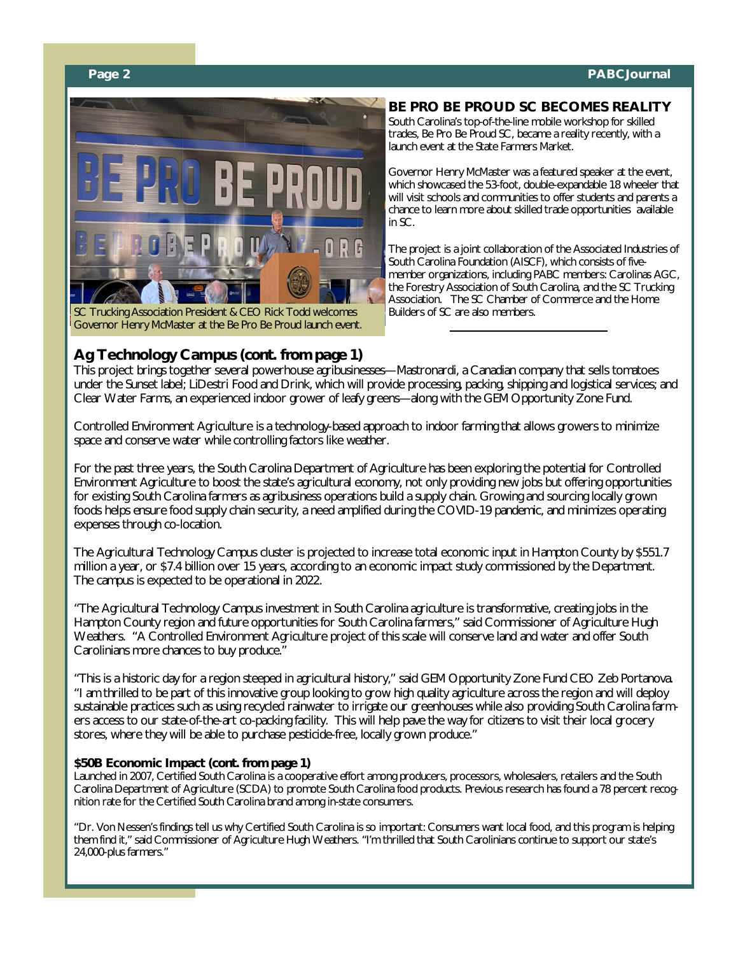### **Page 2 PABCJournal**



SC Trucking Association President & CEO Rick Todd welcomes Governor Henry McMaster at the Be Pro Be Proud launch event.

### **Ag Technology Campus** *(cont. from page 1)*

### **BE PRO BE PROUD SC BECOMES REALITY** South Carolina's top-of-the-line mobile workshop for skilled

trades, Be Pro Be Proud SC, became a reality recently, with a launch event at the State Farmers Market.

Governor Henry McMaster was a featured speaker at the event, which showcased the 53-foot, double-expandable 18 wheeler that will visit schools and communities to offer students and parents a chance to learn more about skilled trade opportunities available in SC.

The project is a joint collaboration of the Associated Industries of South Carolina Foundation (AISCF), which consists of fivemember organizations, including PABC members: Carolinas AGC, the Forestry Association of South Carolina, and the SC Trucking Association. The SC Chamber of Commerce and the Home Builders of SC are also members.

This project brings together several powerhouse agribusinesses—Mastronardi, a Canadian company that sells tomatoes under the Sunset label; LiDestri Food and Drink, which will provide processing, packing, shipping and logistical services; and Clear Water Farms, an experienced indoor grower of leafy greens—along with the GEM Opportunity Zone Fund.

Controlled Environment Agriculture is a technology-based approach to indoor farming that allows growers to minimize space and conserve water while controlling factors like weather.

For the past three years, the South Carolina Department of Agriculture has been exploring the potential for Controlled Environment Agriculture to boost the state's agricultural economy, not only providing new jobs but offering opportunities for existing South Carolina farmers as agribusiness operations build a supply chain. Growing and sourcing locally grown foods helps ensure food supply chain security, a need amplified during the COVID-19 pandemic, and minimizes operating expenses through co-location.

The Agricultural Technology Campus cluster is projected to increase total economic input in Hampton County by \$551.7 million a year, or \$7.4 billion over 15 years, according to an economic impact study commissioned by the Department. The campus is expected to be operational in 2022.

"The Agricultural Technology Campus investment in South Carolina agriculture is transformative, creating jobs in the Hampton County region and future opportunities for South Carolina farmers," said Commissioner of Agriculture Hugh Weathers. "A Controlled Environment Agriculture project of this scale will conserve land and water and offer South Carolinians more chances to buy produce."

"This is a historic day for a region steeped in agricultural history," said GEM Opportunity Zone Fund CEO Zeb Portanova. "I am thrilled to be part of this innovative group looking to grow high quality agriculture across the region and will deploy sustainable practices such as using recycled rainwater to irrigate our greenhouses while also providing South Carolina farmers access to our state-of-the-art co-packing facility. This will help pave the way for citizens to visit their local grocery stores, where they will be able to purchase pesticide-free, locally grown produce."

### **\$50B Economic Impact** *(cont. from page 1)*

Launched in 2007, Certified South Carolina is a cooperative effort among producers, processors, wholesalers, retailers and the South Carolina Department of Agriculture (SCDA) to promote South Carolina food products. Previous research has found a 78 percent recognition rate for the Certified South Carolina brand among in-state consumers.

"Dr. Von Nessen's findings tell us why Certified South Carolina is so important: Consumers want local food, and this program is helping them find it," said Commissioner of Agriculture Hugh Weathers. "I'm thrilled that South Carolinians continue to support our state's 24,000-plus farmers."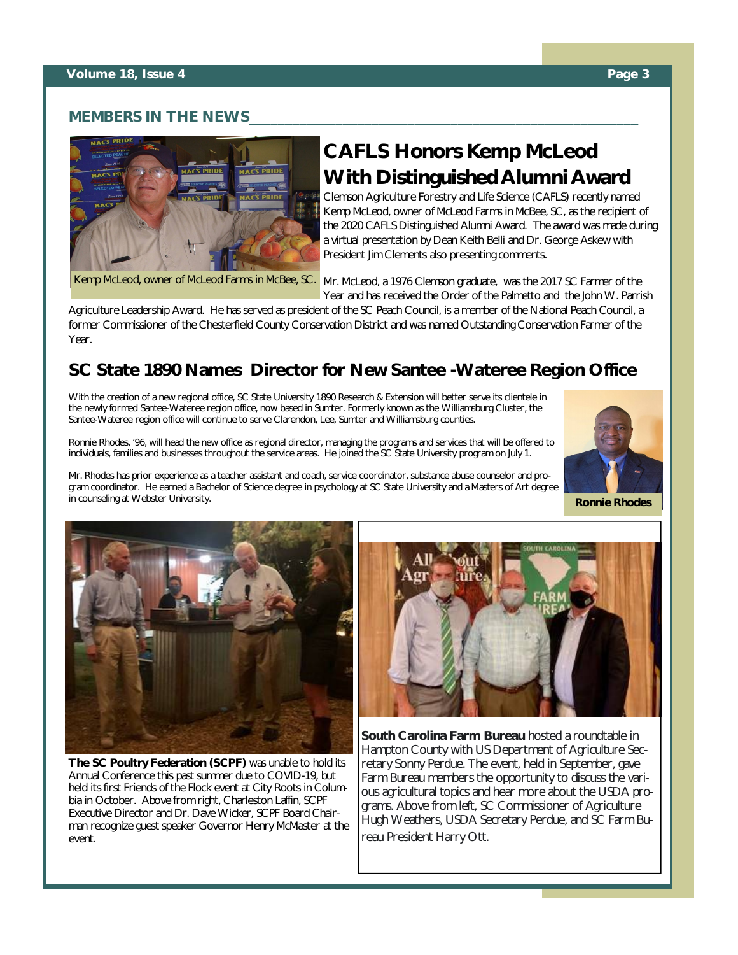### **MEMBERS IN THE NEWS**



# **CAFLS Honors Kemp McLeod With Distinguished Alumni Award**

Clemson Agriculture Forestry and Life Science (CAFLS) recently named Kemp McLeod, owner of McLeod Farms in McBee, SC, as the recipient of the 2020 CAFLS Distinguished Alumni Award. The award was made during a virtual presentation by Dean Keith Belli and Dr. George Askew with President Jim Clements also presenting comments.

Kemp McLeod, owner of McLeod Farms in McBee, SC.

Mr. McLeod, a 1976 Clemson graduate, was the 2017 SC Farmer of the Year and has received the Order of the Palmetto and the John W. Parrish

Agriculture Leadership Award. He has served as president of the SC Peach Council, is a member of the National Peach Council, a former Commissioner of the Chesterfield County Conservation District and was named Outstanding Conservation Farmer of the Year.

# **SC State 1890 Names Director for New Santee -Wateree Region Office**

With the creation of a new regional office, SC State University 1890 Research & Extension will better serve its clientele in the newly formed Santee-Wateree region office, now based in Sumter. Formerly known as the Williamsburg Cluster, the Santee-Wateree region office will continue to serve Clarendon, Lee, Sumter and Williamsburg counties.

Ronnie Rhodes, '96, will head the new office as regional director, managing the programs and services that will be offered to individuals, families and businesses throughout the service areas. He joined the SC State University program on July 1.



Mr. Rhodes has prior experience as a teacher assistant and coach, service coordinator, substance abuse counselor and program coordinator. He earned a Bachelor of Science degree in psychology at SC State University and a Masters of Art degree in counseling at Webster University. **Ronnie Rhodes**



**The SC Poultry Federation (SCPF)** was unable to hold its Annual Conference this past summer due to COVID-19, but held its first Friends of the Flock event at City Roots in Columbia in October. Above from right, Charleston Laffin, SCPF Executive Director and Dr. Dave Wicker, SCPF Board Chairman recognize guest speaker Governor Henry McMaster at the event.



**South Carolina Farm Bureau** hosted a roundtable in Hampton County with US Department of Agriculture Secretary Sonny Perdue. The event, held in September, gave Farm Bureau members the opportunity to discuss the various agricultural topics and hear more about the USDA programs. Above from left, SC Commissioner of Agriculture Hugh Weathers, USDA Secretary Perdue, and SC Farm Bureau President Harry Ott.